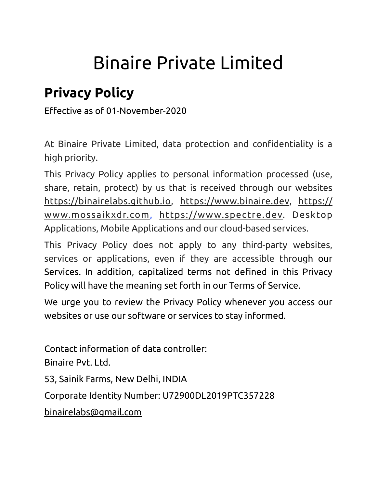# Binaire Private Limited

# **Privacy Policy**

Effective as of 01-November-2020

At Binaire Private Limited, data protection and confidentiality is a high priority.

This Privacy Policy applies to personal information processed (use, share, retain, protect) by us that is received through our websites [https://binairelabs.github.io,](https://binairelabs.github.io) [https://www.binaire.dev,](https://www.xxxxxxx.com) [https://](https://www.xxxxxxx.com) [www.mossaikxdr.com](https://www.xxxxxxx.com), [https://www.spectre.dev](https://www.xxxxxxx.com). Desktop Applications, Mobile Applications and our cloud-based services.

This Privacy Policy does not apply to any third-party websites, services or applications, even if they are accessible through our Services. In addition, capitalized terms not defined in this Privacy Policy will have the meaning set forth in our [Terms of Service.](https://www.figma.com/tos/)

We urge you to review the Privacy Policy whenever you access our websites or use our software or services to stay informed.

Contact information of data controller: Binaire Pvt. Ltd. 53, Sainik Farms, New Delhi, INDIA Corporate Identity Number: U72900DL2019PTC357228 binairelabs@gmail.com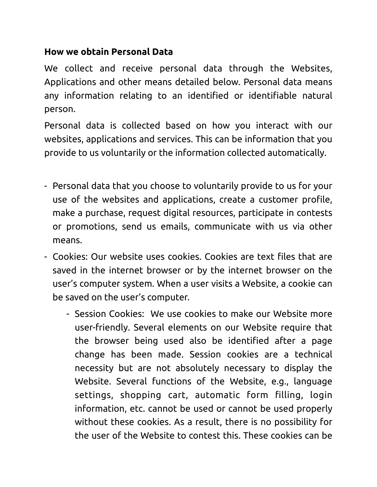#### **How we obtain Personal Data**

We collect and receive personal data through the Websites, Applications and other means detailed below. Personal data means any information relating to an identified or identifiable natural person.

Personal data is collected based on how you interact with our websites, applications and services. This can be information that you provide to us voluntarily or the information collected automatically.

- Personal data that you choose to voluntarily provide to us for your use of the websites and applications, create a customer profile, make a purchase, request digital resources, participate in contests or promotions, send us emails, communicate with us via other means.
- Cookies: Our website uses cookies. Cookies are text files that are saved in the internet browser or by the internet browser on the user's computer system. When a user visits a Website, a cookie can be saved on the user's computer.
	- Session Cookies: We use cookies to make our Website more user-friendly. Several elements on our Website require that the browser being used also be identified after a page change has been made. Session cookies are a technical necessity but are not absolutely necessary to display the Website. Several functions of the Website, e.g., language settings, shopping cart, automatic form filling, login information, etc. cannot be used or cannot be used properly without these cookies. As a result, there is no possibility for the user of the Website to contest this. These cookies can be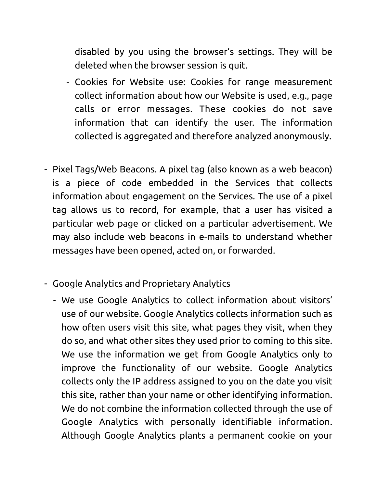disabled by you using the browser's settings. They will be deleted when the browser session is quit.

- Cookies for Website use: Cookies for range measurement collect information about how our Website is used, e.g., page calls or error messages. These cookies do not save information that can identify the user. The information collected is aggregated and therefore analyzed anonymously.
- Pixel Tags/Web Beacons. A pixel tag (also known as a web beacon) is a piece of code embedded in the Services that collects information about engagement on the Services. The use of a pixel tag allows us to record, for example, that a user has visited a particular web page or clicked on a particular advertisement. We may also include web beacons in e-mails to understand whether messages have been opened, acted on, or forwarded.
- Google Analytics and Proprietary Analytics
	- We use Google Analytics to collect information about visitors' use of our website. Google Analytics collects information such as how often users visit this site, what pages they visit, when they do so, and what other sites they used prior to coming to this site. We use the information we get from Google Analytics only to improve the functionality of our website. Google Analytics collects only the IP address assigned to you on the date you visit this site, rather than your name or other identifying information. We do not combine the information collected through the use of Google Analytics with personally identifiable information. Although Google Analytics plants a permanent cookie on your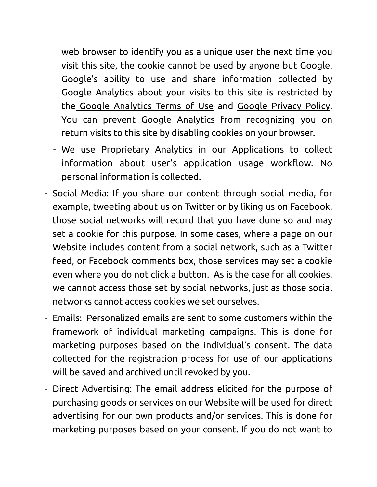web browser to identify you as a unique user the next time you visit this site, the cookie cannot be used by anyone but Google. Google's ability to use and share information collected by Google Analytics about your visits to this site is restricted by the [Google Analytics Terms of Use](http://www.google.com/analytics/tos.html) and [Google Privacy Policy](http://www.google.com/privacypolicy.html). You can prevent Google Analytics from recognizing you on return visits to this site by disabling cookies on your browser.

- We use Proprietary Analytics in our Applications to collect information about user's application usage workflow. No personal information is collected.
- Social Media: If you share our content through social media, for example, tweeting about us on Twitter or by liking us on Facebook, those social networks will record that you have done so and may set a cookie for this purpose. In some cases, where a page on our Website includes content from a social network, such as a Twitter feed, or Facebook comments box, those services may set a cookie even where you do not click a button. As is the case for all cookies, we cannot access those set by social networks, just as those social networks cannot access cookies we set ourselves.
- Emails: Personalized emails are sent to some customers within the framework of individual marketing campaigns. This is done for marketing purposes based on the individual's consent. The data collected for the registration process for use of our applications will be saved and archived until revoked by you.
- Direct Advertising: The email address elicited for the purpose of purchasing goods or services on our Website will be used for direct advertising for our own products and/or services. This is done for marketing purposes based on your consent. If you do not want to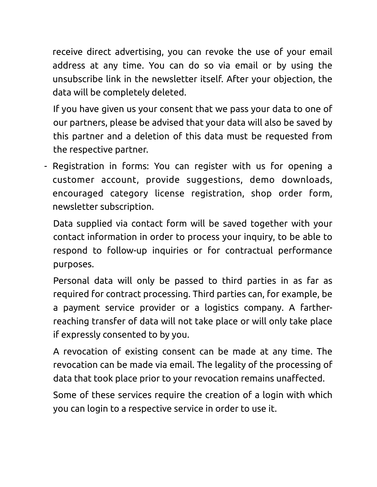receive direct advertising, you can revoke the use of your email address at any time. You can do so via email or by using the unsubscribe link in the newsletter itself. After your objection, the data will be completely deleted.

If you have given us your consent that we pass your data to one of our partners, please be advised that your data will also be saved by this partner and a deletion of this data must be requested from the respective partner.

- Registration in forms: You can register with us for opening a customer account, provide suggestions, demo downloads, encouraged category license registration, shop order form, newsletter subscription.

Data supplied via contact form will be saved together with your contact information in order to process your inquiry, to be able to respond to follow-up inquiries or for contractual performance purposes.

Personal data will only be passed to third parties in as far as required for contract processing. Third parties can, for example, be a payment service provider or a logistics company. A fartherreaching transfer of data will not take place or will only take place if expressly consented to by you.

A revocation of existing consent can be made at any time. The revocation can be made via email. The legality of the processing of data that took place prior to your revocation remains unaffected.

Some of these services require the creation of a login with which you can login to a respective service in order to use it.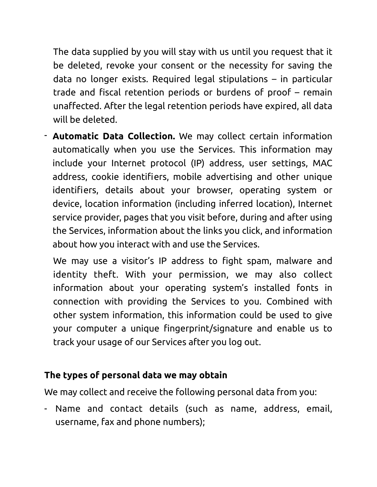The data supplied by you will stay with us until you request that it be deleted, revoke your consent or the necessity for saving the data no longer exists. Required legal stipulations – in particular trade and fiscal retention periods or burdens of proof – remain unaffected. After the legal retention periods have expired, all data will be deleted.

- **Automatic Data Collection.** We may collect certain information automatically when you use the Services. This information may include your Internet protocol (IP) address, user settings, MAC address, cookie identifiers, mobile advertising and other unique identifiers, details about your browser, operating system or device, location information (including inferred location), Internet service provider, pages that you visit before, during and after using the Services, information about the links you click, and information about how you interact with and use the Services.

We may use a visitor's IP address to fight spam, malware and identity theft. With your permission, we may also collect information about your operating system's installed fonts in connection with providing the Services to you. Combined with other system information, this information could be used to give your computer a unique fingerprint/signature and enable us to track your usage of our Services after you log out.

#### **The types of personal data we may obtain**

We may collect and receive the following personal data from you:

- Name and contact details (such as name, address, email, username, fax and phone numbers);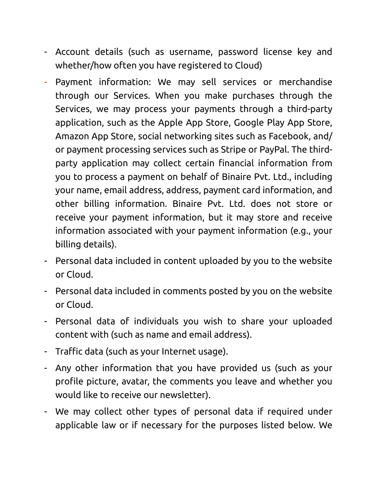- Account details (such as username, password license key and whether/how often you have registered to Cloud)
- Payment information: We may sell services or merchandise through our Services. When you make purchases through the Services, we may process your payments through a third-party application, such as the Apple App Store, Google Play App Store, Amazon App Store, social networking sites such as Facebook, and/ or payment processing services such as Stripe or PayPal. The thirdparty application may collect certain financial information from you to process a payment on behalf of Binaire Pvt. Ltd., including your name, email address, address, payment card information, and other billing information. Binaire Pvt. Ltd. does not store or receive your payment information, but it may store and receive information associated with your payment information (e.g., your billing details).
- Personal data included in content uploaded by you to the website or Cloud.
- Personal data included in comments posted by you on the website or Cloud.
- Personal data of individuals you wish to share your uploaded content with (such as name and email address).
- Traffic data (such as your Internet usage).
- Any other information that you have provided us (such as your profile picture, avatar, the comments you leave and whether you would like to receive our newsletter).
- We may collect other types of personal data if required under applicable law or if necessary for the purposes listed below. We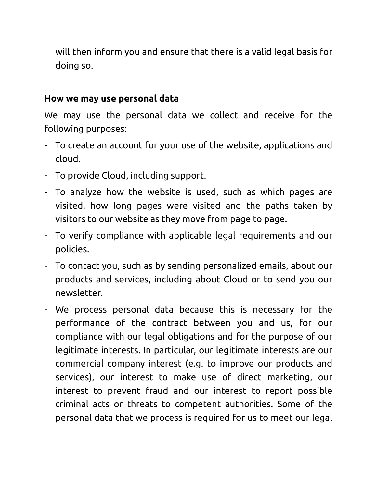will then inform you and ensure that there is a valid legal basis for doing so.

#### **How we may use personal data**

We may use the personal data we collect and receive for the following purposes:

- To create an account for your use of the website, applications and cloud.
- To provide Cloud, including support.
- To analyze how the website is used, such as which pages are visited, how long pages were visited and the paths taken by visitors to our website as they move from page to page.
- To verify compliance with applicable legal requirements and our policies.
- To contact you, such as by sending personalized emails, about our products and services, including about Cloud or to send you our newsletter.
- We process personal data because this is necessary for the performance of the contract between you and us, for our compliance with our legal obligations and for the purpose of our legitimate interests. In particular, our legitimate interests are our commercial company interest (e.g. to improve our products and services), our interest to make use of direct marketing, our interest to prevent fraud and our interest to report possible criminal acts or threats to competent authorities. Some of the personal data that we process is required for us to meet our legal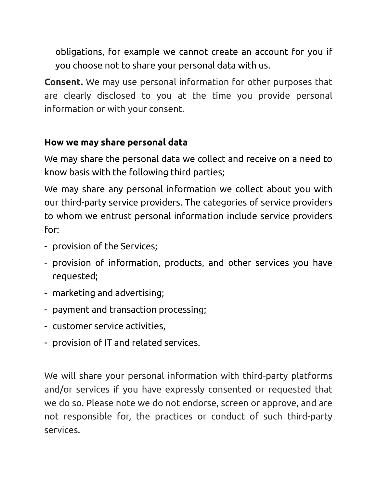obligations, for example we cannot create an account for you if you choose not to share your personal data with us.

**Consent.** We may use personal information for other purposes that are clearly disclosed to you at the time you provide personal information or with your consent.

#### **How we may share personal data**

We may share the personal data we collect and receive on a need to know basis with the following third parties;

We may share any personal information we collect about you with our third-party service providers. The categories of service providers to whom we entrust personal information include service providers for:

- provision of the Services;
- provision of information, products, and other services you have requested;
- marketing and advertising;
- payment and transaction processing;
- customer service activities,
- provision of IT and related services.

We will share your personal information with third-party platforms and/or services if you have expressly consented or requested that we do so. Please note we do not endorse, screen or approve, and are not responsible for, the practices or conduct of such third-party services.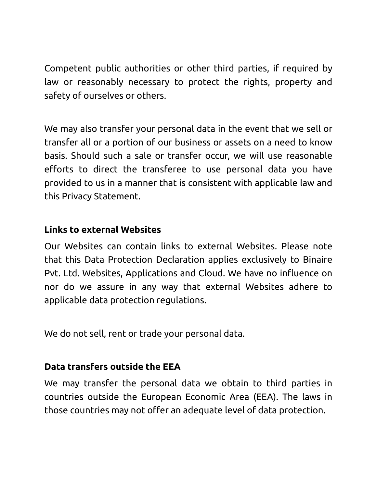Competent public authorities or other third parties, if required by law or reasonably necessary to protect the rights, property and safety of ourselves or others.

We may also transfer your personal data in the event that we sell or transfer all or a portion of our business or assets on a need to know basis. Should such a sale or transfer occur, we will use reasonable efforts to direct the transferee to use personal data you have provided to us in a manner that is consistent with applicable law and this Privacy Statement.

#### **Links to external Websites**

Our Websites can contain links to external Websites. Please note that this Data Protection Declaration applies exclusively to Binaire Pvt. Ltd. Websites, Applications and Cloud. We have no influence on nor do we assure in any way that external Websites adhere to applicable data protection regulations.

We do not sell, rent or trade your personal data.

## **Data transfers outside the EEA**

We may transfer the personal data we obtain to third parties in countries outside the European Economic Area (EEA). The laws in those countries may not offer an adequate level of data protection.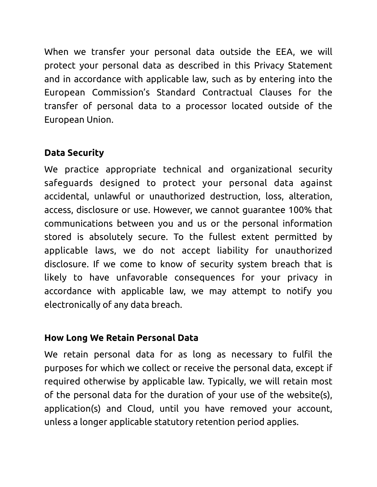When we transfer your personal data outside the EEA, we will protect your personal data as described in this Privacy Statement and in accordance with applicable law, such as by entering into the European Commission's Standard Contractual Clauses for the transfer of personal data to a processor located outside of the European Union.

# **Data Security**

We practice appropriate technical and organizational security safeguards designed to protect your personal data against accidental, unlawful or unauthorized destruction, loss, alteration, access, disclosure or use. However, we cannot guarantee 100% that communications between you and us or the personal information stored is absolutely secure. To the fullest extent permitted by applicable laws, we do not accept liability for unauthorized disclosure. If we come to know of security system breach that is likely to have unfavorable consequences for your privacy in accordance with applicable law, we may attempt to notify you electronically of any data breach.

## **How Long We Retain Personal Data**

We retain personal data for as long as necessary to fulfil the purposes for which we collect or receive the personal data, except if required otherwise by applicable law. Typically, we will retain most of the personal data for the duration of your use of the website(s), application(s) and Cloud, until you have removed your account, unless a longer applicable statutory retention period applies.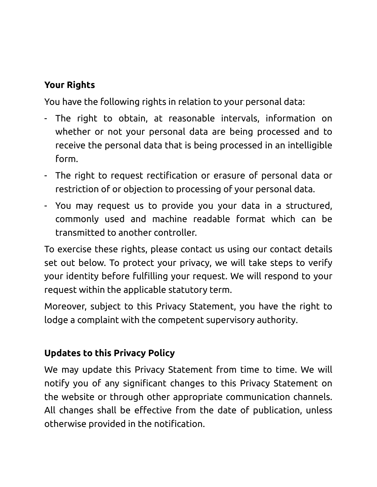# **Your Rights**

You have the following rights in relation to your personal data:

- The right to obtain, at reasonable intervals, information on whether or not your personal data are being processed and to receive the personal data that is being processed in an intelligible form.
- The right to request rectification or erasure of personal data or restriction of or objection to processing of your personal data.
- You may request us to provide you your data in a structured, commonly used and machine readable format which can be transmitted to another controller.

To exercise these rights, please contact us using our contact details set out below. To protect your privacy, we will take steps to verify your identity before fulfilling your request. We will respond to your request within the applicable statutory term.

Moreover, subject to this Privacy Statement, you have the right to lodge a complaint with the competent supervisory authority.

## **Updates to this Privacy Policy**

We may update this Privacy Statement from time to time. We will notify you of any significant changes to this Privacy Statement on the website or through other appropriate communication channels. All changes shall be effective from the date of publication, unless otherwise provided in the notification.